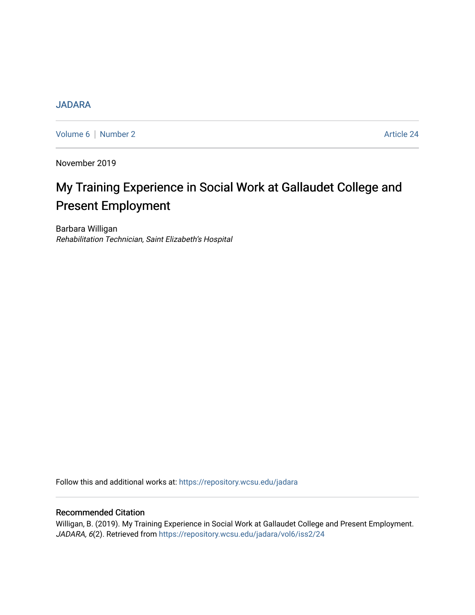## **[JADARA](https://repository.wcsu.edu/jadara)**

[Volume 6](https://repository.wcsu.edu/jadara/vol6) | [Number 2](https://repository.wcsu.edu/jadara/vol6/iss2) Article 24

November 2019

# My Training Experience in Social Work at Gallaudet College and Present Employment

Barbara Willigan Rehabilitation Technician, Saint Elizabeth's Hospital

Follow this and additional works at: [https://repository.wcsu.edu/jadara](https://repository.wcsu.edu/jadara?utm_source=repository.wcsu.edu%2Fjadara%2Fvol6%2Fiss2%2F24&utm_medium=PDF&utm_campaign=PDFCoverPages)

## Recommended Citation

Willigan, B. (2019). My Training Experience in Social Work at Gallaudet College and Present Employment. JADARA, 6(2). Retrieved from [https://repository.wcsu.edu/jadara/vol6/iss2/24](https://repository.wcsu.edu/jadara/vol6/iss2/24?utm_source=repository.wcsu.edu%2Fjadara%2Fvol6%2Fiss2%2F24&utm_medium=PDF&utm_campaign=PDFCoverPages)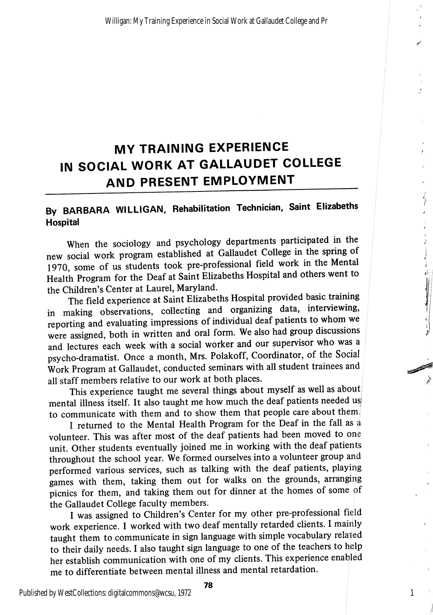## MY TRAINING EXPERIENCE IN SOCIAL WORK AT GALLAUDET COLLEGE AND PRESENT EMPLOYMENT

## By BARBARA WILLIGAN, Rehabilitation Technician, Saint Elizabeths Hospital

When the sociology and psychology departments participated in the new social work program established at Gallaudet College in the spring of 1970, some of us students took pre-professional field work in the Mental Health Program for the Deaf at Saint Elizabeths Hospital and others went to the Children's Center at Laurel, Maryland.

The field experience at Saint Elizabeths Hospital provided basic training in making observations, collecting and organizing data, interviewing, reporting and evaluating impressions of individual deaf patients to whom we were assigned, both in written and oral form. We also had group discussions and lectures each week with a social worker and our supervisor who was a psycho-dramatist. Once a month, Mrs. Polakoff, Coordinator, of the Social Work Program at Gallaudet, conducted seminars with all student trainees and all staff members relative to our work at both places.

This experience taught me several things about myself as well as abouti mental illness itself. It also taught me how much the deaf patients needed us to communicate with them and to show them that people care about them;

I returned to the Mental Health Program for the Deaf in the fall as a volunteer. This was after most of the deaf patients had been moved to one unit. Other students eventually joined me in working with the deaf patient's throughout the school year. We formed ourselves into a volunteer group and performed various services, such as talking with the deaf patients, playing games with them, taking them out for walks on the grounds, arranging picnics for them, and taking them out for dinner at the homes of some of the Gallaudet College faculty members.

I was assigned to Children's Center for my other pre-professional field work experience. I worked with two deaf mentally retarded clients. I mainly taught them to communicate in sign language with simple vocabulary related to their daily needs. I also taught sign language to one of the teachers to help her establish communication with one of my clients. This experience enabjled me to differentiate between mental illness and mental retardation.

Published by WestCollections: digitalcommons@wcsu, 1972

78

1

المستعرض